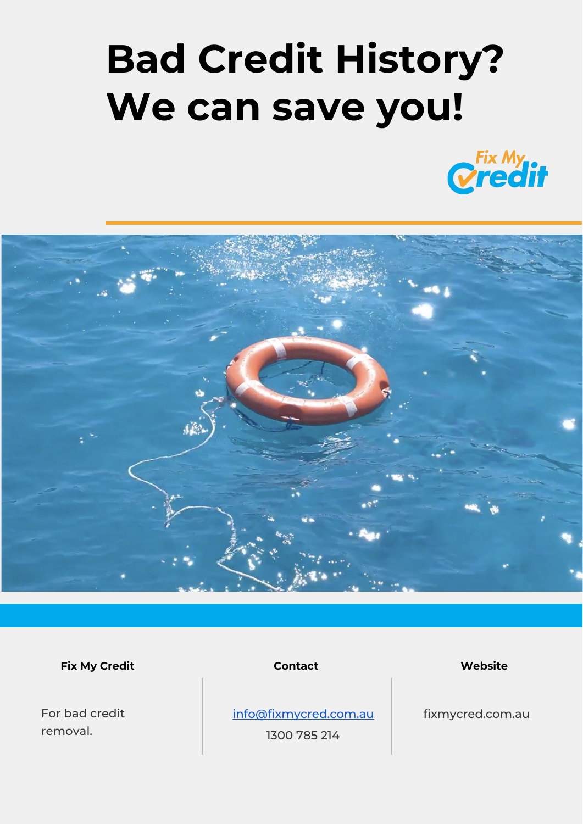## **Bad Credit History? We can save you!**





**Fix My Credit Contact Website**

For bad credit removal.

[info@fixmycred.com.au](mailto:info@fixmycred.com.au)

1300 785 214

fixmycred.com.au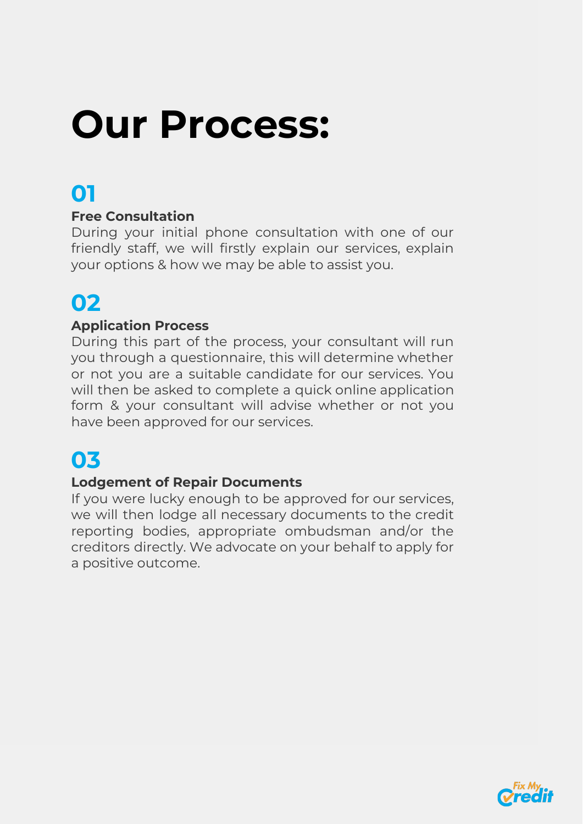## **Our Process:**

### **01**

#### **Free Consultation**

During your initial phone consultation with one of our friendly staff, we will firstly explain our services, explain your options & how we may be able to assist you.

### **02**

#### **Application Process**

During this part of the process, your consultant will run you through a questionnaire, this will determine whether or not you are a suitable candidate for our services. You will then be asked to complete a quick online application form & your consultant will advise whether or not you have been approved for our services.

### **03**

#### **Lodgement of Repair Documents**

If you were lucky enough to be approved for our services, we will then lodge all necessary documents to the credit reporting bodies, appropriate ombudsman and/or the creditors directly. We advocate on your behalf to apply for a positive outcome.

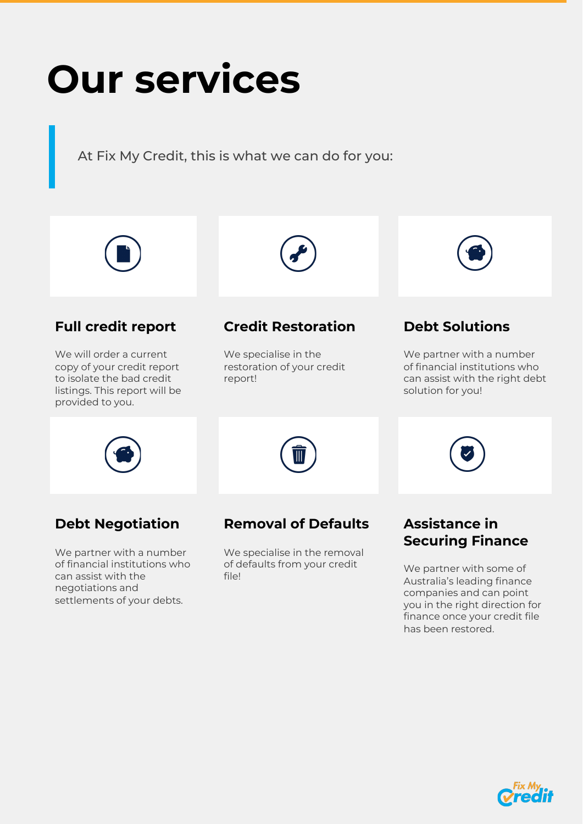## **Our services**

At Fix My Credit, this is what we can do for you:



#### **Full credit report**

We will order a current copy of your credit report to isolate the bad credit listings. This report will be provided to you.



We specialise in the restoration of your credit report!



#### **Debt Solutions**

We partner with a number of financial institutions who can assist with the right debt solution for you!



#### **Debt Negotiation**

We partner with a number of financial institutions who can assist with the negotiations and settlements of your debts.

#### **Removal of Defaults**

We specialise in the removal of defaults from your credit file!

#### **Assistance in Securing Finance**

We partner with some of Australia's leading finance companies and can point you in the right direction for finance once your credit file has been restored.

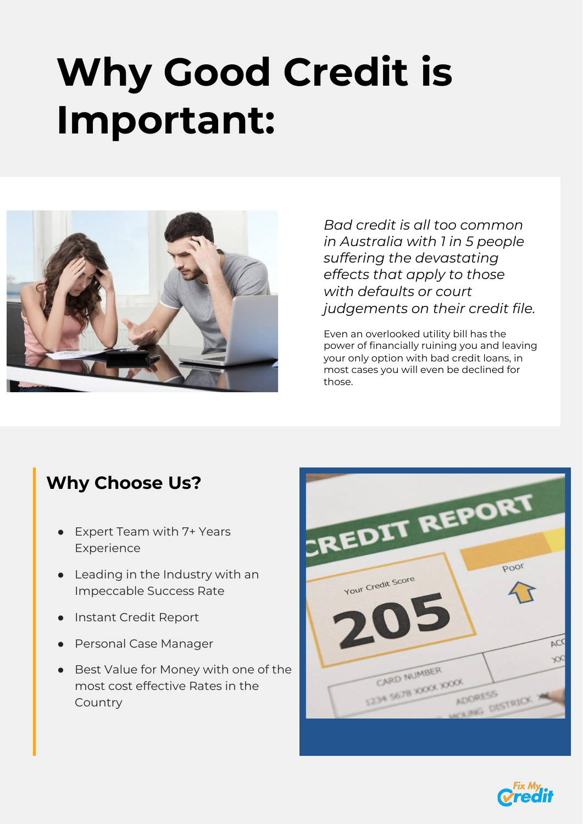## **Why Good Credit is Important:**



*Bad credit is all too common in Australia with 1 in 5 people suffering the devastating effects that apply to those with defaults or court judgements on their credit file.*

Even an overlooked utility bill has the power of financially ruining you and leaving your only option with bad credit loans, in most cases you will even be declined for those.

#### **Why Choose Us?**

- Expert Team with 7+ Years Experience
- Leading in the Industry with an Impeccable Success Rate
- Instant Credit Report
- Personal Case Manager
- Best Value for Money with one of the most cost effective Rates in the Country



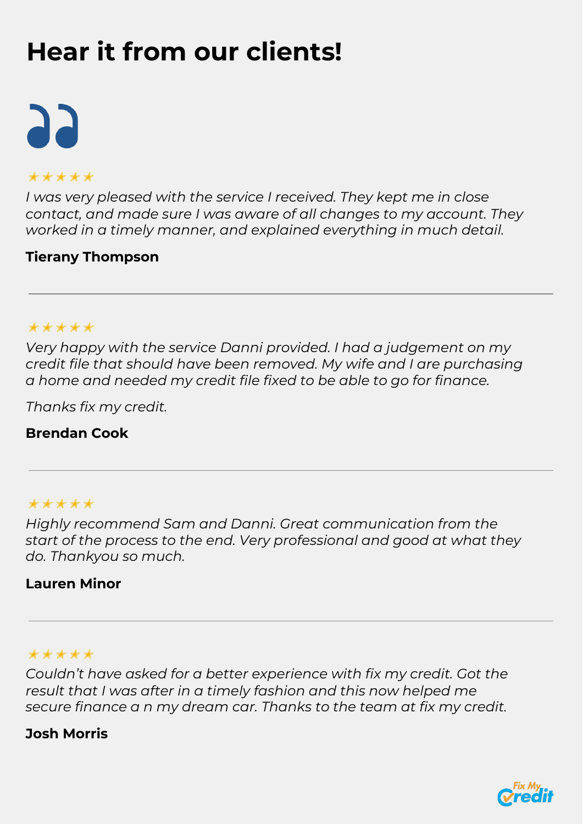### **Hear it from our clients!**

# 25

#### ✭✭✭✭✭

*I was very pleased with the service I received. They kept me in close contact, and made sure I was aware of all changes to my account. They worked in a timely manner, and explained everything in much detail.*

#### **Tierany Thompson**

#### ✭✭✭✭✭

*Very happy with the service Danni provided. I had a judgement on my credit file that should have been removed. My wife and I are purchasing a home and needed my credit file fixed to be able to go for finance.*

*Thanks fix my credit.*

#### **Brendan Cook**

#### ✭✭✭✭✭

*Highly recommend Sam and Danni. Great communication from the start of the process to the end. Very professional and good at what they do. Thankyou so much.*

#### **Lauren Minor**

#### ✭✭✭✭✭

*Couldn't have asked for a better experience with fix my credit. Got the result that I was after in a timely fashion and this now helped me secure finance a n my dream car. Thanks to the team at fix my credit.*

#### **Josh Morris**

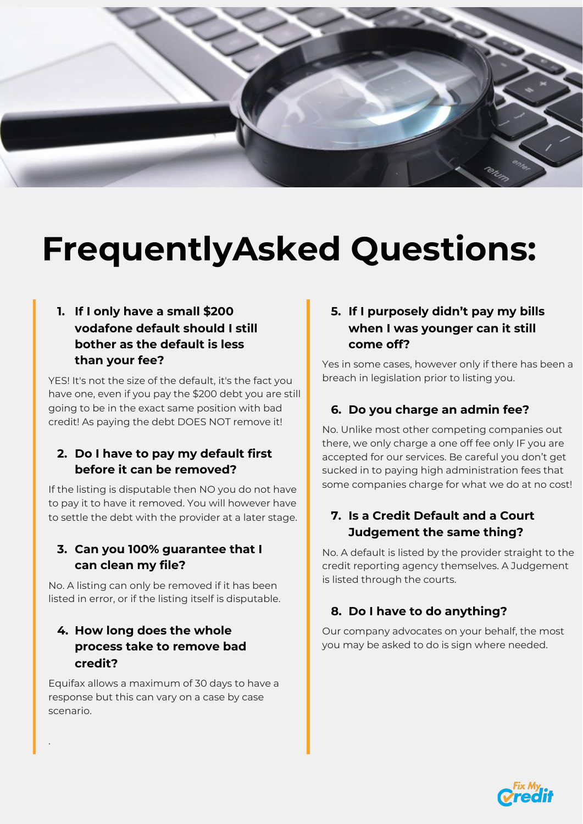

### **FrequentlyAsked Questions:**

#### **1. If I only have a small \$200 vodafone default should I still bother as the default is less than your fee?**

YES! It's not the size of the default, it's the fact you have one, even if you pay the \$200 debt you are still going to be in the exact same position with bad credit! As paying the debt DOES NOT remove it!

#### **2. Do I have to pay my default first before it can be removed?**

If the listing is disputable then NO you do not have to pay it to have it removed. You will however have to settle the debt with the provider at a later stage.

#### **3. Can you 100% guarantee that I can clean my file?**

No. A listing can only be removed if it has been listed in error, or if the listing itself is disputable.

#### **4. How long does the whole process take to remove bad credit?**

.

Equifax allows a maximum of 30 days to have a response but this can vary on a case by case scenario.

#### **5. If I purposely didn't pay my bills when I was younger can it still come off?**

Yes in some cases, however only if there has been a breach in legislation prior to listing you.

#### **6. Do you charge an admin fee?**

No. Unlike most other competing companies out there, we only charge a one off fee only IF you are accepted for our services. Be careful you don't get sucked in to paying high administration fees that some companies charge for what we do at no cost!

#### **7. Is a Credit Default and a Court Judgement the same thing?**

No. A default is listed by the provider straight to the credit reporting agency themselves. A Judgement is listed through the courts.

#### **8. Do I have to do anything?**

Our company advocates on your behalf, the most you may be asked to do is sign where needed.